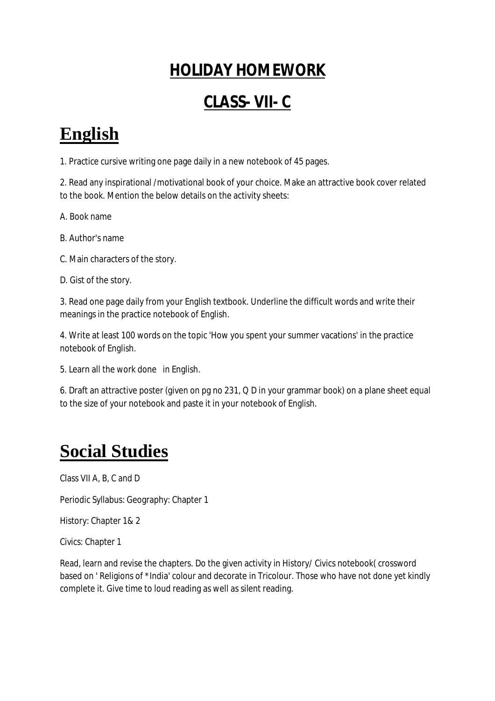### **HOLIDAY HOMEWORK**

### **CLASS- VII- C**

# **English**

1. Practice cursive writing one page daily in a new notebook of 45 pages.

2. Read any inspirational /motivational book of your choice. Make an attractive book cover related to the book. Mention the below details on the activity sheets:

A. Book name

B. Author's name

C. Main characters of the story.

D. Gist of the story.

3. Read one page daily from your English textbook. Underline the difficult words and write their meanings in the practice notebook of English.

4. Write at least 100 words on the topic 'How you spent your summer vacations' in the practice notebook of English.

5. Learn all the work done in English.

6. Draft an attractive poster (given on pg no 231, Q D in your grammar book) on a plane sheet equal to the size of your notebook and paste it in your notebook of English.

# **Social Studies**

Class VII A, B, C and D

Periodic Syllabus: Geography: Chapter 1

History: Chapter 1& 2

Civics: Chapter 1

Read, learn and revise the chapters. Do the given activity in History/ Civics notebook( crossword based on ' Religions of \*India' colour and decorate in Tricolour. Those who have not done yet kindly complete it. Give time to loud reading as well as silent reading.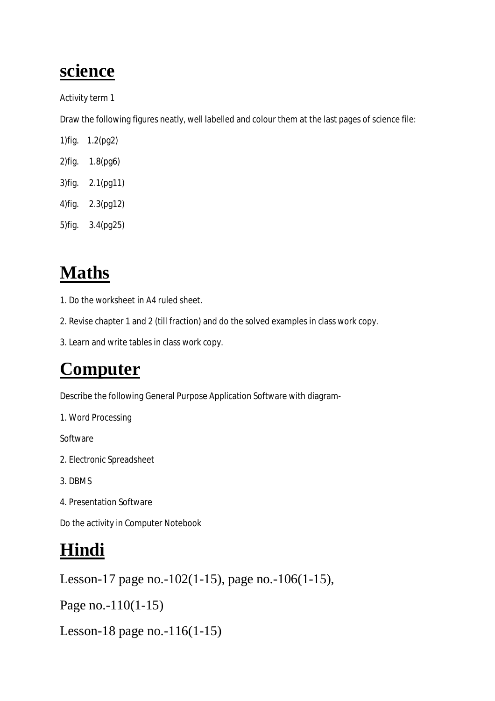### **science**

Activity term 1

Draw the following figures neatly, well labelled and colour them at the last pages of science file:

1)fig. 1.2(pg2) 2)fig. 1.8(pg6)

- 3)fig. 2.1(pg11)
- 4)fig. 2.3(pg12)

5)fig. 3.4(pg25)

# **Maths**

- 1. Do the worksheet in A4 ruled sheet.
- 2. Revise chapter 1 and 2 (till fraction) and do the solved examples in class work copy.
- 3. Learn and write tables in class work copy.

## **Computer**

Describe the following General Purpose Application Software with diagram-

1. Word Processing

Software

- 2. Electronic Spreadsheet
- 3. DBMS
- 4. Presentation Software

Do the activity in Computer Notebook

# **Hindi**

Lesson-17 page no.-102(1-15), page no.-106(1-15),

Page no.-110(1-15)

Lesson-18 page no.-116(1-15)